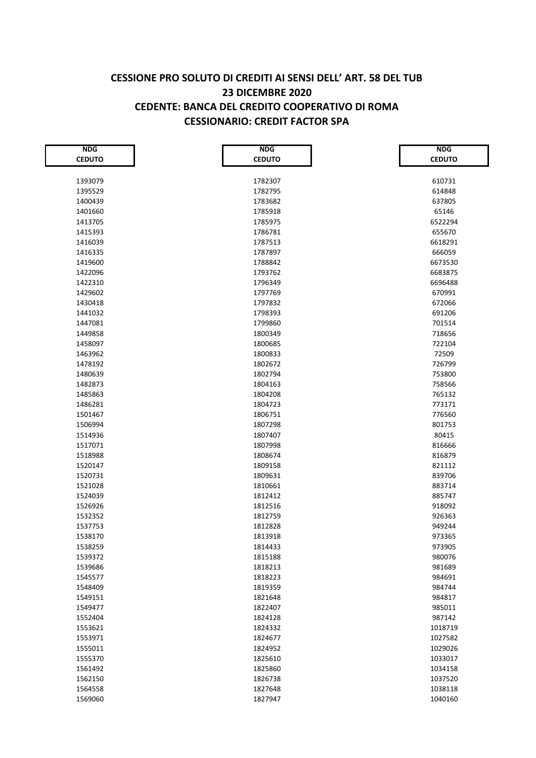## **CESSIONE PRO SOLUTO DI CREDITI AI SENSI DELL' ART. 58 DEL TUB 23 DICEMBRE 2020 CEDENTE: BANCA DEL CREDITO COOPERATIVO DI ROMA CESSIONARIO: CREDIT FACTOR SPA**

| <b>NDG</b>    | <b>NDG</b>    | <b>NDG</b>    |
|---------------|---------------|---------------|
| <b>CEDUTO</b> | <b>CEDUTO</b> | <b>CEDUTO</b> |
|               |               |               |
| 1393079       | 1782307       | 610731        |
| 1395529       | 1782795       | 614848        |
| 1400439       | 1783682       | 637805        |
| 1401660       | 1785918       | 65146         |
| 1413705       | 1785975       | 6522294       |
| 1415393       | 1786781       | 655670        |
| 1416039       | 1787513       | 6618291       |
| 1416335       | 1787897       | 666059        |
| 1419600       | 1788842       | 6673530       |
| 1422096       | 1793762       | 6683875       |
| 1422310       | 1796349       | 6696488       |
| 1429602       | 1797769       | 670991        |
| 1430418       | 1797832       | 672066        |
| 1441032       | 1798393       | 691206        |
| 1447081       | 1799860       | 701514        |
| 1449858       | 1800349       | 718656        |
| 1458097       | 1800685       | 722104        |
| 1463962       | 1800833       | 72509         |
| 1478192       | 1802672       | 726799        |
| 1480639       | 1802794       | 753800        |
| 1482873       | 1804163       | 758566        |
| 1485863       | 1804208       | 765132        |
| 1486281       | 1804723       | 773171        |
| 1501467       | 1806751       | 776560        |
| 1506994       | 1807298       | 801753        |
| 1514936       | 1807407       | 80415         |
| 1517071       | 1807998       | 816666        |
| 1518988       | 1808674       | 816879        |
| 1520147       | 1809158       | 821112        |
| 1520731       | 1809631       | 839706        |
| 1521028       | 1810661       | 883714        |
| 1524039       | 1812412       | 885747        |
| 1526926       | 1812516       | 918092        |
| 1532352       | 1812759       | 926363        |
| 1537753       | 1812828       | 949244        |
| 1538170       | 1813918       | 973365        |
| 1538259       | 1814433       | 973905        |
| 1539372       | 1815188       | 980076        |
| 1539686       | 1818213       | 981689        |
| 1545577       | 1818223       | 984691        |
| 1548409       | 1819359       | 984744        |
| 1549151       | 1821648       | 984817        |
| 1549477       | 1822407       | 985011        |
| 1552404       | 1824128       | 987142        |
| 1553621       | 1824332       | 1018719       |
| 1553971       | 1824677       | 1027582       |
| 1555011       | 1824952       | 1029026       |
| 1555370       | 1825610       | 1033017       |
| 1561492       | 1825860       | 1034158       |
| 1562150       | 1826738       | 1037520       |
| 1564558       | 1827648       | 1038118       |
| 1569060       | 1827947       | 1040160       |
|               |               |               |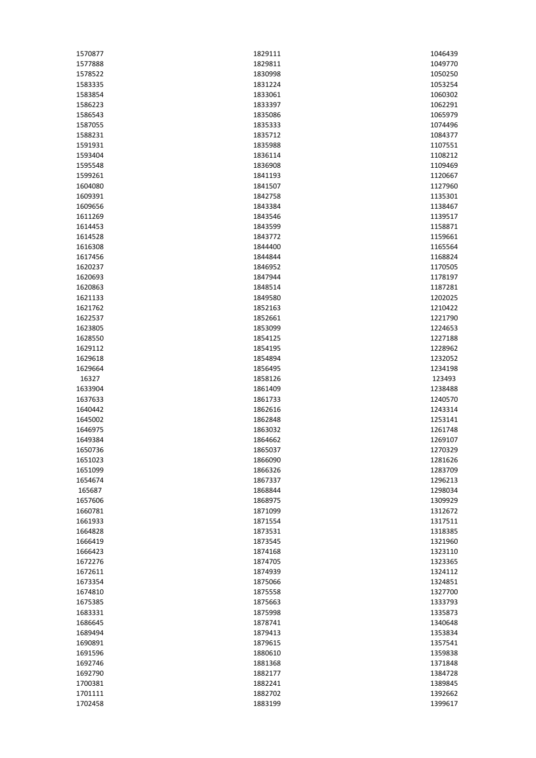| 1570877 | 1829111 | 1046439 |
|---------|---------|---------|
| 1577888 | 1829811 | 1049770 |
| 1578522 | 1830998 | 1050250 |
| 1583335 | 1831224 | 1053254 |
| 1583854 | 1833061 | 1060302 |
| 1586223 | 1833397 | 1062291 |
| 1586543 | 1835086 | 1065979 |
| 1587055 | 1835333 | 1074496 |
| 1588231 | 1835712 | 1084377 |
| 1591931 | 1835988 | 1107551 |
| 1593404 | 1836114 | 1108212 |
| 1595548 | 1836908 | 1109469 |
| 1599261 | 1841193 | 1120667 |
| 1604080 | 1841507 | 1127960 |
| 1609391 | 1842758 | 1135301 |
| 1609656 | 1843384 | 1138467 |
| 1611269 | 1843546 | 1139517 |
| 1614453 | 1843599 | 1158871 |
| 1614528 | 1843772 | 1159661 |
| 1616308 | 1844400 | 1165564 |
| 1617456 |         |         |
|         | 1844844 | 1168824 |
| 1620237 | 1846952 | 1170505 |
| 1620693 | 1847944 | 1178197 |
| 1620863 | 1848514 | 1187281 |
| 1621133 | 1849580 | 1202025 |
| 1621762 | 1852163 | 1210422 |
| 1622537 | 1852661 | 1221790 |
| 1623805 | 1853099 | 1224653 |
| 1628550 | 1854125 | 1227188 |
| 1629112 | 1854195 | 1228962 |
| 1629618 | 1854894 | 1232052 |
| 1629664 | 1856495 | 1234198 |
| 16327   | 1858126 | 123493  |
| 1633904 | 1861409 | 1238488 |
| 1637633 | 1861733 | 1240570 |
| 1640442 | 1862616 | 1243314 |
| 1645002 | 1862848 | 1253141 |
| 1646975 | 1863032 | 1261748 |
| 1649384 | 1864662 | 1269107 |
| 1650736 | 1865037 | 1270329 |
| 1651023 | 1866090 | 1281626 |
| 1651099 | 1866326 | 1283709 |
| 1654674 | 1867337 | 1296213 |
| 165687  | 1868844 | 1298034 |
| 1657606 | 1868975 | 1309929 |
| 1660781 | 1871099 | 1312672 |
| 1661933 | 1871554 | 1317511 |
| 1664828 | 1873531 | 1318385 |
| 1666419 | 1873545 | 1321960 |
| 1666423 | 1874168 | 1323110 |
| 1672276 | 1874705 | 1323365 |
| 1672611 | 1874939 | 1324112 |
| 1673354 | 1875066 | 1324851 |
| 1674810 | 1875558 | 1327700 |
| 1675385 | 1875663 | 1333793 |
| 1683331 | 1875998 | 1335873 |
| 1686645 | 1878741 | 1340648 |
| 1689494 | 1879413 | 1353834 |
|         |         |         |
| 1690891 | 1879615 | 1357541 |
| 1691596 | 1880610 | 1359838 |
| 1692746 | 1881368 | 1371848 |
| 1692790 | 1882177 | 1384728 |
| 1700381 | 1882241 | 1389845 |
| 1701111 | 1882702 | 1392662 |
| 1702458 | 1883199 | 1399617 |